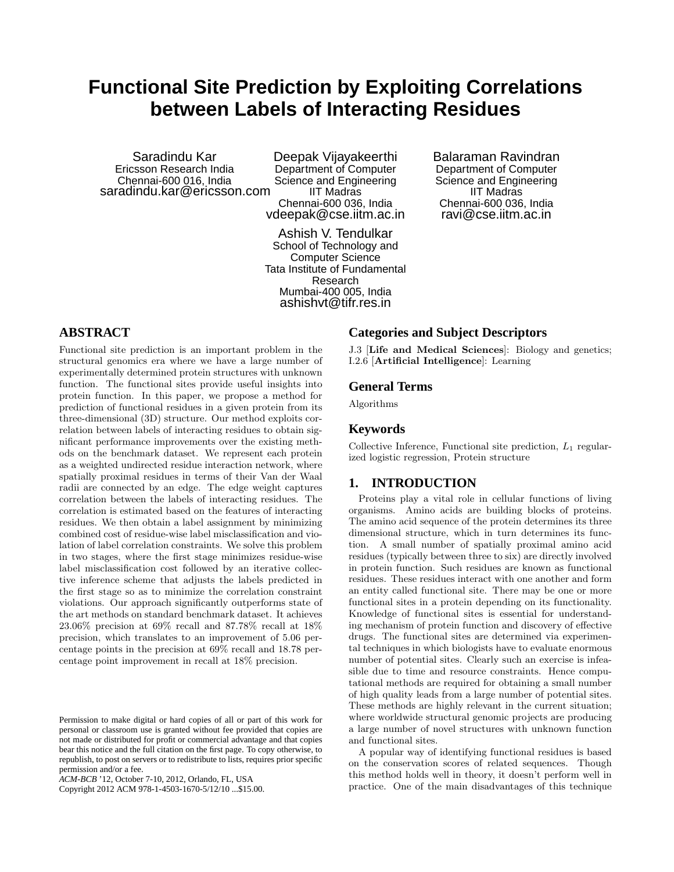# **Functional Site Prediction by Exploiting Correlations between Labels of Interacting Residues**

Saradindu Kar Ericsson Research India Chennai-600 016, India saradindu.kar@ericsson.com

Deepak Vijayakeerthi Department of Computer Science and Engineering IIT Madras Chennai-600 036, India vdeepak@cse.iitm.ac.in

Ashish V. Tendulkar School of Technology and Computer Science Tata Institute of Fundamental Research Mumbai-400 005, India ashishvt@tifr.res.in

## **ABSTRACT**

Functional site prediction is an important problem in the structural genomics era where we have a large number of experimentally determined protein structures with unknown function. The functional sites provide useful insights into protein function. In this paper, we propose a method for prediction of functional residues in a given protein from its three-dimensional (3D) structure. Our method exploits correlation between labels of interacting residues to obtain significant performance improvements over the existing methods on the benchmark dataset. We represent each protein as a weighted undirected residue interaction network, where spatially proximal residues in terms of their Van der Waal radii are connected by an edge. The edge weight captures correlation between the labels of interacting residues. The correlation is estimated based on the features of interacting residues. We then obtain a label assignment by minimizing combined cost of residue-wise label misclassification and violation of label correlation constraints. We solve this problem in two stages, where the first stage minimizes residue-wise label misclassification cost followed by an iterative collective inference scheme that adjusts the labels predicted in the first stage so as to minimize the correlation constraint violations. Our approach significantly outperforms state of the art methods on standard benchmark dataset. It achieves 23.06% precision at 69% recall and 87.78% recall at 18% precision, which translates to an improvement of 5.06 percentage points in the precision at 69% recall and 18.78 percentage point improvement in recall at 18% precision.

Copyright 2012 ACM 978-1-4503-1670-5/12/10 ...\$15.00.

# **Categories and Subject Descriptors**

J.3 [Life and Medical Sciences]: Biology and genetics; I.2.6 [Artificial Intelligence]: Learning

## **General Terms**

Algorithms

## **Keywords**

Collective Inference, Functional site prediction,  $L_1$  regularized logistic regression, Protein structure

## **1. INTRODUCTION**

Proteins play a vital role in cellular functions of living organisms. Amino acids are building blocks of proteins. The amino acid sequence of the protein determines its three dimensional structure, which in turn determines its function. A small number of spatially proximal amino acid residues (typically between three to six) are directly involved in protein function. Such residues are known as functional residues. These residues interact with one another and form an entity called functional site. There may be one or more functional sites in a protein depending on its functionality. Knowledge of functional sites is essential for understanding mechanism of protein function and discovery of effective drugs. The functional sites are determined via experimental techniques in which biologists have to evaluate enormous number of potential sites. Clearly such an exercise is infeasible due to time and resource constraints. Hence computational methods are required for obtaining a small number of high quality leads from a large number of potential sites. These methods are highly relevant in the current situation; where worldwide structural genomic projects are producing a large number of novel structures with unknown function and functional sites.

A popular way of identifying functional residues is based on the conservation scores of related sequences. Though this method holds well in theory, it doesn't perform well in practice. One of the main disadvantages of this technique

Balaraman Ravindran Department of Computer Science and Engineering IIT Madras Chennai-600 036, India ravi@cse.iitm.ac.in

Permission to make digital or hard copies of all or part of this work for personal or classroom use is granted without fee provided that copies are not made or distributed for profit or commercial advantage and that copies bear this notice and the full citation on the first page. To copy otherwise, to republish, to post on servers or to redistribute to lists, requires prior specific permission and/or a fee.

*ACM-BCB* '12, October 7-10, 2012, Orlando, FL, USA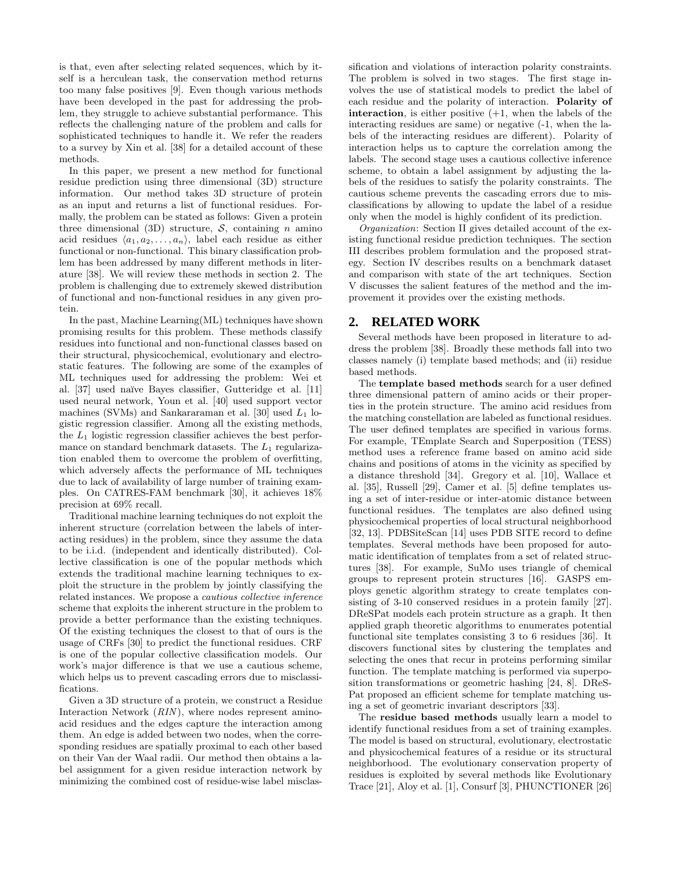is that, even after selecting related sequences, which by itself is a herculean task, the conservation method returns too many false positives [9]. Even though various methods have been developed in the past for addressing the problem, they struggle to achieve substantial performance. This reflects the challenging nature of the problem and calls for sophisticated techniques to handle it. We refer the readers to a survey by Xin et al. [38] for a detailed account of these methods.

In this paper, we present a new method for functional residue prediction using three dimensional (3D) structure information. Our method takes 3D structure of protein as an input and returns a list of functional residues. Formally, the problem can be stated as follows: Given a protein three dimensional (3D) structure,  $S$ , containing n amino acid residues  $\langle a_1, a_2, \ldots, a_n \rangle$ , label each residue as either functional or non-functional. This binary classification problem has been addressed by many different methods in literature [38]. We will review these methods in section 2. The problem is challenging due to extremely skewed distribution of functional and non-functional residues in any given protein.

In the past, Machine Learning(ML) techniques have shown promising results for this problem. These methods classify residues into functional and non-functional classes based on their structural, physicochemical, evolutionary and electrostatic features. The following are some of the examples of ML techniques used for addressing the problem: Wei et al. [37] used na¨ıve Bayes classifier, Gutteridge et al. [11] used neural network, Youn et al. [40] used support vector machines (SVMs) and Sankararaman et al. [30] used  $L_1$  logistic regression classifier. Among all the existing methods, the  $L_1$  logistic regression classifier achieves the best performance on standard benchmark datasets. The  $L_1$  regularization enabled them to overcome the problem of overfitting, which adversely affects the performance of ML techniques due to lack of availability of large number of training examples. On CATRES-FAM benchmark [30], it achieves 18% precision at 69% recall.

Traditional machine learning techniques do not exploit the inherent structure (correlation between the labels of interacting residues) in the problem, since they assume the data to be i.i.d. (independent and identically distributed). Collective classification is one of the popular methods which extends the traditional machine learning techniques to exploit the structure in the problem by jointly classifying the related instances. We propose a *cautious collective inference* scheme that exploits the inherent structure in the problem to provide a better performance than the existing techniques. Of the existing techniques the closest to that of ours is the usage of CRFs [30] to predict the functional residues. CRF is one of the popular collective classification models. Our work's major difference is that we use a cautious scheme, which helps us to prevent cascading errors due to misclassifications.

Given a 3D structure of a protein, we construct a Residue Interaction Network (*RIN* ), where nodes represent aminoacid residues and the edges capture the interaction among them. An edge is added between two nodes, when the corresponding residues are spatially proximal to each other based on their Van der Waal radii. Our method then obtains a label assignment for a given residue interaction network by minimizing the combined cost of residue-wise label misclassification and violations of interaction polarity constraints. The problem is solved in two stages. The first stage involves the use of statistical models to predict the label of each residue and the polarity of interaction. Polarity of **interaction**, is either positive  $(+1,$  when the labels of the interacting residues are same) or negative (-1, when the labels of the interacting residues are different). Polarity of interaction helps us to capture the correlation among the labels. The second stage uses a cautious collective inference scheme, to obtain a label assignment by adjusting the labels of the residues to satisfy the polarity constraints. The cautious scheme prevents the cascading errors due to misclassifications by allowing to update the label of a residue only when the model is highly confident of its prediction.

*Organization*: Section II gives detailed account of the existing functional residue prediction techniques. The section III describes problem formulation and the proposed strategy. Section IV describes results on a benchmark dataset and comparison with state of the art techniques. Section V discusses the salient features of the method and the improvement it provides over the existing methods.

## **2. RELATED WORK**

Several methods have been proposed in literature to address the problem [38]. Broadly these methods fall into two classes namely (i) template based methods; and (ii) residue based methods.

The template based methods search for a user defined three dimensional pattern of amino acids or their properties in the protein structure. The amino acid residues from the matching constellation are labeled as functional residues. The user defined templates are specified in various forms. For example, TEmplate Search and Superposition (TESS) method uses a reference frame based on amino acid side chains and positions of atoms in the vicinity as specified by a distance threshold [34]. Gregory et al. [10], Wallace et al. [35], Russell [29], Camer et al. [5] define templates using a set of inter-residue or inter-atomic distance between functional residues. The templates are also defined using physicochemical properties of local structural neighborhood [32, 13]. PDBSiteScan [14] uses PDB SITE record to define templates. Several methods have been proposed for automatic identification of templates from a set of related structures [38]. For example, SuMo uses triangle of chemical groups to represent protein structures [16]. GASPS employs genetic algorithm strategy to create templates consisting of 3-10 conserved residues in a protein family [27]. DReSPat models each protein structure as a graph. It then applied graph theoretic algorithms to enumerates potential functional site templates consisting 3 to 6 residues [36]. It discovers functional sites by clustering the templates and selecting the ones that recur in proteins performing similar function. The template matching is performed via superposition transformations or geometric hashing [24, 8]. DReS-Pat proposed an efficient scheme for template matching using a set of geometric invariant descriptors [33].

The residue based methods usually learn a model to identify functional residues from a set of training examples. The model is based on structural, evolutionary, electrostatic and physicochemical features of a residue or its structural neighborhood. The evolutionary conservation property of residues is exploited by several methods like Evolutionary Trace [21], Aloy et al. [1], Consurf [3], PHUNCTIONER [26]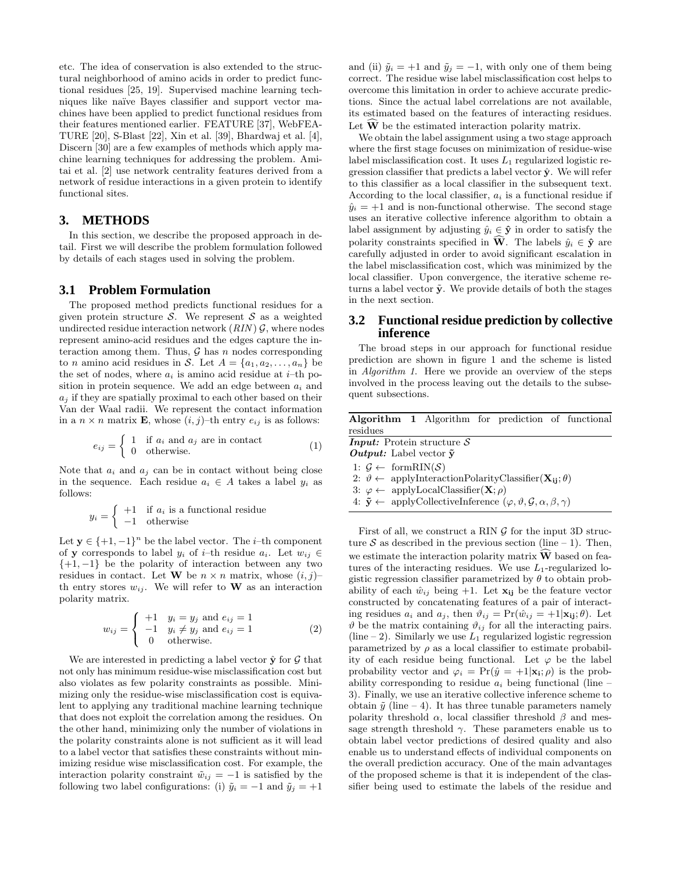etc. The idea of conservation is also extended to the structural neighborhood of amino acids in order to predict functional residues [25, 19]. Supervised machine learning techniques like naïve Bayes classifier and support vector machines have been applied to predict functional residues from their features mentioned earlier. FEATURE [37], WebFEA-TURE [20], S-Blast [22], Xin et al. [39], Bhardwaj et al. [4], Discern [30] are a few examples of methods which apply machine learning techniques for addressing the problem. Amitai et al. [2] use network centrality features derived from a network of residue interactions in a given protein to identify functional sites.

## **3. METHODS**

In this section, we describe the proposed approach in detail. First we will describe the problem formulation followed by details of each stages used in solving the problem.

## **3.1 Problem Formulation**

The proposed method predicts functional residues for a given protein structure S. We represent S as a weighted undirected residue interaction network  $(RIN)$   $\mathcal{G}$ , where nodes represent amino-acid residues and the edges capture the interaction among them. Thus,  $\mathcal G$  has n nodes corresponding to *n* amino acid residues in S. Let  $A = \{a_1, a_2, \ldots, a_n\}$  be the set of nodes, where  $a_i$  is amino acid residue at *i*-th position in protein sequence. We add an edge between  $a_i$  and  $a_i$  if they are spatially proximal to each other based on their Van der Waal radii. We represent the contact information in a  $n \times n$  matrix **E**, whose  $(i, j)$ –th entry  $e_{ij}$  is as follows:

$$
e_{ij} = \begin{cases} 1 & \text{if } a_i \text{ and } a_j \text{ are in contact} \\ 0 & \text{otherwise.} \end{cases}
$$
 (1)

Note that  $a_i$  and  $a_j$  can be in contact without being close in the sequence. Each residue  $a_i \in A$  takes a label  $y_i$  as follows:

$$
y_i = \begin{cases} +1 & \text{if } a_i \text{ is a functional residue} \\ -1 & \text{otherwise} \end{cases}
$$

Let  $y \in \{+1, -1\}^n$  be the label vector. The *i*-th component of y corresponds to label  $y_i$  of *i*–th residue  $a_i$ . Let  $w_{ij} \in$  $\{+1, -1\}$  be the polarity of interaction between any two residues in contact. Let **W** be  $n \times n$  matrix, whose  $(i, j)$ – th entry stores  $w_{ij}$ . We will refer to **W** as an interaction polarity matrix.

$$
w_{ij} = \begin{cases} +1 & y_i = y_j \text{ and } e_{ij} = 1\\ -1 & y_i \neq y_j \text{ and } e_{ij} = 1\\ 0 & \text{otherwise.} \end{cases}
$$
 (2)

We are interested in predicting a label vector  $\hat{\mathbf{y}}$  for  $\mathcal{G}$  that not only has minimum residue-wise misclassification cost but also violates as few polarity constraints as possible. Minimizing only the residue-wise misclassification cost is equivalent to applying any traditional machine learning technique that does not exploit the correlation among the residues. On the other hand, minimizing only the number of violations in the polarity constraints alone is not sufficient as it will lead to a label vector that satisfies these constraints without minimizing residue wise misclassification cost. For example, the interaction polarity constraint  $\tilde{w}_{ij} = -1$  is satisfied by the following two label configurations: (i)  $\tilde{y}_i = -1$  and  $\tilde{y}_j = +1$ 

and (ii)  $\tilde{y}_i = +1$  and  $\tilde{y}_j = -1$ , with only one of them being correct. The residue wise label misclassification cost helps to overcome this limitation in order to achieve accurate predictions. Since the actual label correlations are not available, its estimated based on the features of interacting residues. Let  $\widehat{W}$  be the estimated interaction polarity matrix.

We obtain the label assignment using a two stage approach where the first stage focuses on minimization of residue-wise label misclassification cost. It uses  $L_1$  regularized logistic regression classifier that predicts a label vector  $\hat{y}$ . We will refer to this classifier as a local classifier in the subsequent text. According to the local classifier,  $a_i$  is a functional residue if  $\hat{y}_i = +1$  and is non-functional otherwise. The second stage uses an iterative collective inference algorithm to obtain a label assignment by adjusting  $\hat{y}_i \in \hat{\mathbf{y}}$  in order to satisfy the polarity constraints specified in  $\widehat{\mathbf{W}}$ . The labels  $\hat{y}_i \in \hat{\mathbf{y}}$  are carefully adjusted in order to avoid significant escalation in the label misclassification cost, which was minimized by the local classifier. Upon convergence, the iterative scheme returns a label vector  $\tilde{y}$ . We provide details of both the stages in the next section.

## **3.2 Functional residue prediction by collective inference**

The broad steps in our approach for functional residue prediction are shown in figure 1 and the scheme is listed in *Algorithm 1*. Here we provide an overview of the steps involved in the process leaving out the details to the subsequent subsections.

| <b>Algorithm 1</b> Algorithm for prediction of functional                                                                     |  |  |  |
|-------------------------------------------------------------------------------------------------------------------------------|--|--|--|
| residues                                                                                                                      |  |  |  |
| <i>Input:</i> Protein structure $S$                                                                                           |  |  |  |
| <i>Output:</i> Label vector $\tilde{y}$                                                                                       |  |  |  |
| 1: $\mathcal{G} \leftarrow \text{formRIN}(\mathcal{S})$                                                                       |  |  |  |
| 2: $\vartheta \leftarrow \text{ applyInteraction-PolarityClassifier}(\mathbf{X}_{ii}; \theta)$                                |  |  |  |
| 3: $\varphi \leftarrow \text{applyLocalClassifier}(\mathbf{X}; \rho)$                                                         |  |  |  |
| 4: $\tilde{\mathbf{y}} \leftarrow \text{ applyCollectiveInference } (\varphi, \vartheta, \mathcal{G}, \alpha, \beta, \gamma)$ |  |  |  |

First of all, we construct a RIN  $\mathcal G$  for the input 3D structure S as described in the previous section (line – 1). Then, we estimate the interaction polarity matrix  $\widehat{W}$  based on features of the interacting residues. We use  $L_1$ -regularized logistic regression classifier parametrized by  $\theta$  to obtain probability of each  $\hat{w}_{ij}$  being +1. Let  $\mathbf{x}_{ij}$  be the feature vector constructed by concatenating features of a pair of interacting residues  $a_i$  and  $a_j$ , then  $\vartheta_{ij} = \Pr(\hat{w}_{ij} = +1|\mathbf{x}_{ij}; \theta)$ . Let  $\vartheta$  be the matrix containing  $\vartheta_{ij}$  for all the interacting pairs. (line – 2). Similarly we use  $L_1$  regularized logistic regression parametrized by  $\rho$  as a local classifier to estimate probability of each residue being functional. Let  $\varphi$  be the label probability vector and  $\varphi_i = \Pr(\hat{y} = +1|\mathbf{x_i}; \rho)$  is the probability corresponding to residue  $a_i$  being functional (line – 3). Finally, we use an iterative collective inference scheme to obtain  $\tilde{y}$  (line – 4). It has three tunable parameters namely polarity threshold  $\alpha$ , local classifier threshold  $\beta$  and message strength threshold  $\gamma$ . These parameters enable us to obtain label vector predictions of desired quality and also enable us to understand effects of individual components on the overall prediction accuracy. One of the main advantages of the proposed scheme is that it is independent of the classifier being used to estimate the labels of the residue and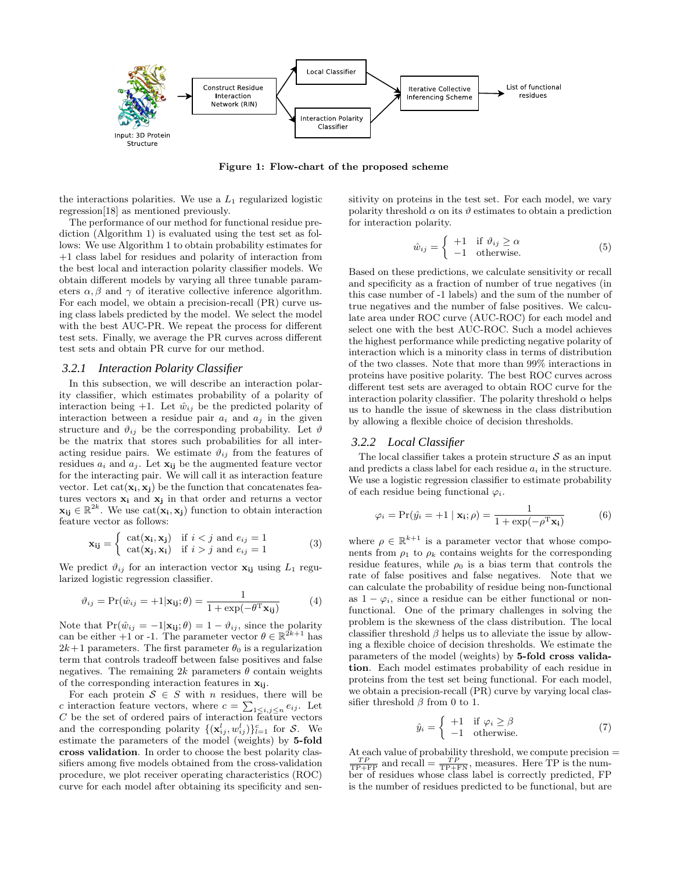

Figure 1: Flow-chart of the proposed scheme

the interactions polarities. We use a  $L_1$  regularized logistic regression[18] as mentioned previously.

The performance of our method for functional residue prediction (Algorithm 1) is evaluated using the test set as follows: We use Algorithm 1 to obtain probability estimates for +1 class label for residues and polarity of interaction from the best local and interaction polarity classifier models. We obtain different models by varying all three tunable parameters  $\alpha$ ,  $\beta$  and  $\gamma$  of iterative collective inference algorithm. For each model, we obtain a precision-recall (PR) curve using class labels predicted by the model. We select the model with the best AUC-PR. We repeat the process for different test sets. Finally, we average the PR curves across different test sets and obtain PR curve for our method.

#### *3.2.1 Interaction Polarity Classifier*

In this subsection, we will describe an interaction polarity classifier, which estimates probability of a polarity of interaction being  $+1$ . Let  $\hat{w}_{ij}$  be the predicted polarity of interaction between a residue pair  $a_i$  and  $a_j$  in the given structure and  $\vartheta_{ij}$  be the corresponding probability. Let  $\vartheta$ be the matrix that stores such probabilities for all interacting residue pairs. We estimate  $\vartheta_{ij}$  from the features of residues  $a_i$  and  $a_j$ . Let  $\mathbf{x}_{ij}$  be the augmented feature vector for the interacting pair. We will call it as interaction feature vector. Let  $cat(\mathbf{x_i}, \mathbf{x_i})$  be the function that concatenates features vectors  $\mathbf{x}_i$  and  $\mathbf{x}_j$  in that order and returns a vector  $\mathbf{x}_{ij} \in \mathbb{R}^{2k}$ . We use  $\text{cat}(\mathbf{x}_i, \mathbf{x}_j)$  function to obtain interaction feature vector as follows:

$$
\mathbf{x_{ij}} = \begin{cases} \text{cat}(\mathbf{x_i}, \mathbf{x_j}) & \text{if } i < j \text{ and } e_{ij} = 1\\ \text{cat}(\mathbf{x_j}, \mathbf{x_i}) & \text{if } i > j \text{ and } e_{ij} = 1 \end{cases}
$$
 (3)

We predict  $\vartheta_{ij}$  for an interaction vector  $\mathbf{x}_{ij}$  using  $L_1$  regularized logistic regression classifier.

$$
\vartheta_{ij} = \Pr(\hat{w}_{ij} = +1 | \mathbf{x}_{ij}; \theta) = \frac{1}{1 + \exp(-\theta^T \mathbf{x}_{ij})}
$$
(4)

Note that  $Pr(\hat{w}_{ij} = -1|\mathbf{x_{ij}};\theta) = 1 - \vartheta_{ij}$ , since the polarity can be either  $+1$  or -1. The parameter vector  $\theta \in \mathbb{R}^{2k+1}$  has  $2k+1$  parameters. The first parameter  $\theta_0$  is a regularization term that controls tradeoff between false positives and false negatives. The remaining  $2k$  parameters  $\theta$  contain weights of the corresponding interaction features in  $x_{ii}$ .

For each protein  $S \in S$  with n residues, there will be c interaction feature vectors, where  $c = \sum_{1 \leq i,j \leq n} e_{ij}$ . Let  $C$  be the set of ordered pairs of interaction feature vectors and the corresponding polarity  $\{(\mathbf{x}_{ij}^l, w_{ij}^l)\}_{l=1}^c$  for S. We estimate the parameters of the model (weights) by 5-fold cross validation. In order to choose the best polarity classifiers among five models obtained from the cross-validation procedure, we plot receiver operating characteristics (ROC) curve for each model after obtaining its specificity and sensitivity on proteins in the test set. For each model, we vary polarity threshold  $\alpha$  on its  $\vartheta$  estimates to obtain a prediction for interaction polarity.

$$
\hat{w}_{ij} = \begin{cases}\n+1 & \text{if } \vartheta_{ij} \ge \alpha \\
-1 & \text{otherwise.} \n\end{cases}
$$
\n(5)

Based on these predictions, we calculate sensitivity or recall and specificity as a fraction of number of true negatives (in this case number of -1 labels) and the sum of the number of true negatives and the number of false positives. We calculate area under ROC curve (AUC-ROC) for each model and select one with the best AUC-ROC. Such a model achieves the highest performance while predicting negative polarity of interaction which is a minority class in terms of distribution of the two classes. Note that more than 99% interactions in proteins have positive polarity. The best ROC curves across different test sets are averaged to obtain ROC curve for the interaction polarity classifier. The polarity threshold  $\alpha$  helps us to handle the issue of skewness in the class distribution by allowing a flexible choice of decision thresholds.

### *3.2.2 Local Classifier*

The local classifier takes a protein structure  $\mathcal S$  as an input and predicts a class label for each residue  $a_i$  in the structure. We use a logistic regression classifier to estimate probability of each residue being functional  $\varphi_i$ .

$$
\varphi_i = \Pr(\hat{y}_i = +1 \mid \mathbf{x_i}; \rho) = \frac{1}{1 + \exp(-\rho^T \mathbf{x_i})}
$$
(6)

where  $\rho \in \mathbb{R}^{k+1}$  is a parameter vector that whose components from  $\rho_1$  to  $\rho_k$  contains weights for the corresponding residue features, while  $\rho_0$  is a bias term that controls the rate of false positives and false negatives. Note that we can calculate the probability of residue being non-functional as  $1 - \varphi_i$ , since a residue can be either functional or nonfunctional. One of the primary challenges in solving the problem is the skewness of the class distribution. The local classifier threshold  $\beta$  helps us to alleviate the issue by allowing a flexible choice of decision thresholds. We estimate the parameters of the model (weights) by 5-fold cross validation. Each model estimates probability of each residue in proteins from the test set being functional. For each model, we obtain a precision-recall (PR) curve by varying local classifier threshold  $\beta$  from 0 to 1.

$$
\hat{y}_i = \begin{cases}\n+1 & \text{if } \varphi_i \ge \beta \\
-1 & \text{otherwise.} \n\end{cases}
$$
\n(7)

At each value of probability threshold, we compute precision  $=$  $\frac{TP}{TP+FP}$  and recall  $=\frac{TP}{TP+FN}$ , measures. Here TP is the number of residues whose class label is correctly predicted, FP is the number of residues predicted to be functional, but are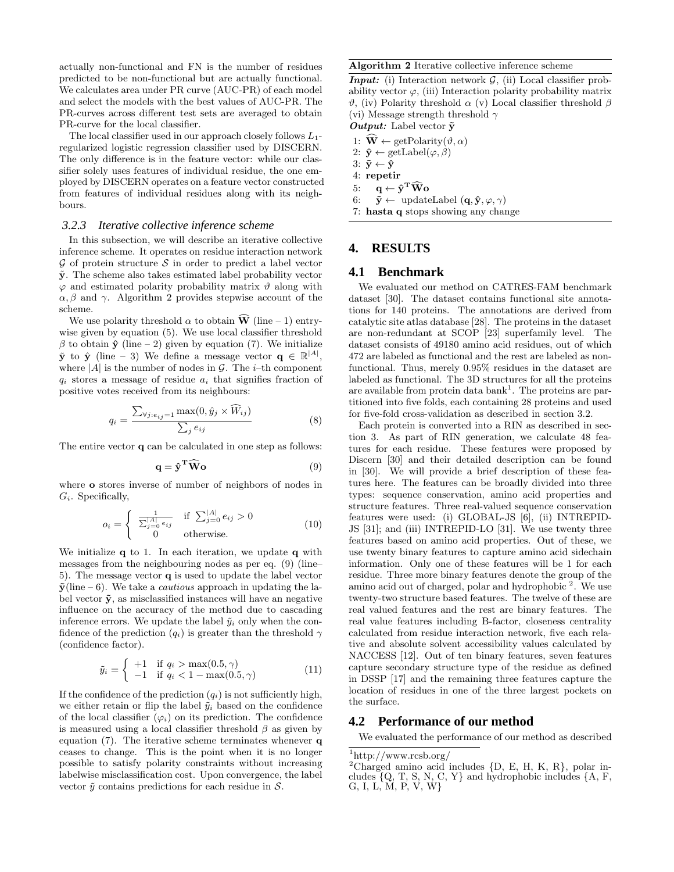actually non-functional and FN is the number of residues predicted to be non-functional but are actually functional. We calculates area under PR curve (AUC-PR) of each model and select the models with the best values of AUC-PR. The PR-curves across different test sets are averaged to obtain PR-curve for the local classifier.

The local classifier used in our approach closely follows  $L_1$ regularized logistic regression classifier used by DISCERN. The only difference is in the feature vector: while our classifier solely uses features of individual residue, the one employed by DISCERN operates on a feature vector constructed from features of individual residues along with its neighbours.

#### *3.2.3 Iterative collective inference scheme*

In this subsection, we will describe an iterative collective inference scheme. It operates on residue interaction network  $\mathcal G$  of protein structure  $\mathcal S$  in order to predict a label vector  $\tilde{y}$ . The scheme also takes estimated label probability vector  $\varphi$  and estimated polarity probability matrix  $\vartheta$  along with  $\alpha, \beta$  and  $\gamma$ . Algorithm 2 provides stepwise account of the scheme.

We use polarity threshold  $\alpha$  to obtain  $\widehat{W}$  (line – 1) entrywise given by equation (5). We use local classifier threshold  $\beta$  to obtain  $\hat{\mathbf{y}}$  (line – 2) given by equation (7). We initialize  $\tilde{\mathbf{y}}$  to  $\hat{\mathbf{y}}$  (line – 3) We define a message vector  $\mathbf{q} \in \mathbb{R}^{|A|}$ , where  $|A|$  is the number of nodes in  $\mathcal{G}$ . The *i*-th component  $q_i$  stores a message of residue  $a_i$  that signifies fraction of positive votes received from its neighbours:

$$
q_i = \frac{\sum_{\forall j: e_{ij}=1} \max(0, \hat{y}_j \times \widehat{W}_{ij})}{\sum_j e_{ij}}
$$
(8)

The entire vector  $q$  can be calculated in one step as follows:

$$
\mathbf{q} = \hat{\mathbf{y}}^{\mathrm{T}} \widehat{\mathbf{W}} \mathbf{o} \tag{9}
$$

where o stores inverse of number of neighbors of nodes in  $G_i$ . Specifically,

$$
o_i = \begin{cases} \frac{1}{\sum_{j=0}^{|A|} e_{ij}} & \text{if } \sum_{j=0}^{|A|} e_{ij} > 0\\ 0 & \text{otherwise.} \end{cases}
$$
(10)

We initialize  $q$  to 1. In each iteration, we update  $q$  with messages from the neighbouring nodes as per eq. (9) (line– 5). The message vector q is used to update the label vector  $\tilde{y}$ (line – 6). We take a *cautious* approach in updating the label vector  $\tilde{\mathbf{y}}$ , as misclassified instances will have an negative influence on the accuracy of the method due to cascading inference errors. We update the label  $\tilde{y}_i$  only when the confidence of the prediction  $(q_i)$  is greater than the threshold  $\gamma$ (confidence factor).

$$
\tilde{y}_i = \begin{cases}\n+1 & \text{if } q_i > \max(0.5, \gamma) \\
-1 & \text{if } q_i < 1 - \max(0.5, \gamma)\n\end{cases}
$$
\n(11)

If the confidence of the prediction  $(q_i)$  is not sufficiently high, we either retain or flip the label  $\tilde{y}_i$  based on the confidence of the local classifier  $(\varphi_i)$  on its prediction. The confidence is measured using a local classifier threshold  $\beta$  as given by equation (7). The iterative scheme terminates whenever q ceases to change. This is the point when it is no longer possible to satisfy polarity constraints without increasing labelwise misclassification cost. Upon convergence, the label vector  $\tilde{y}$  contains predictions for each residue in S.

#### Algorithm 2 Iterative collective inference scheme

**Input:** (i) Interaction network  $\mathcal{G}$ , (ii) Local classifier probability vector  $\varphi$ , (iii) Interaction polarity probability matrix  $\vartheta$ , (iv) Polarity threshold  $\alpha$  (v) Local classifier threshold  $\beta$ (vi) Message strength threshold  $\gamma$ 

- Output: Label vector  $\tilde{\mathbf{y}}$
- 1:  $\mathbf{\hat{W}} \leftarrow \text{getPolarity}(\vartheta, \alpha)$
- 2:  $\hat{\mathbf{y}} \leftarrow \text{getLabel}(\varphi, \beta)$
- 3:  $\tilde{\mathbf{y}} \leftarrow \hat{\mathbf{y}}$
- 4: repetir
- $5: \quad \mathbf{q} \leftarrow \hat{\mathbf{y}}^{\mathbf{T}} \widehat{\mathbf{W}} \mathbf{o}$
- 6:  $\tilde{\mathbf{y}} \leftarrow \text{updateLabel}(\mathbf{q}, \hat{\mathbf{y}}, \varphi, \gamma)$ 7: hasta q stops showing any change
- 

# **4. RESULTS**

## **4.1 Benchmark**

We evaluated our method on CATRES-FAM benchmark dataset [30]. The dataset contains functional site annotations for 140 proteins. The annotations are derived from catalytic site atlas database [28]. The proteins in the dataset are non-redundant at SCOP [23] superfamily level. The dataset consists of 49180 amino acid residues, out of which 472 are labeled as functional and the rest are labeled as nonfunctional. Thus, merely 0.95% residues in the dataset are labeled as functional. The 3D structures for all the proteins are available from protein data bank<sup>1</sup>. The proteins are partitioned into five folds, each containing 28 proteins and used for five-fold cross-validation as described in section 3.2.

Each protein is converted into a RIN as described in section 3. As part of RIN generation, we calculate 48 features for each residue. These features were proposed by Discern [30] and their detailed description can be found in [30]. We will provide a brief description of these features here. The features can be broadly divided into three types: sequence conservation, amino acid properties and structure features. Three real-valued sequence conservation features were used: (i) GLOBAL-JS [6], (ii) INTREPID-JS [31]; and (iii) INTREPID-LO [31]. We use twenty three features based on amino acid properties. Out of these, we use twenty binary features to capture amino acid sidechain information. Only one of these features will be 1 for each residue. Three more binary features denote the group of the amino acid out of charged, polar and hydrophobic<sup>2</sup>. We use twenty-two structure based features. The twelve of these are real valued features and the rest are binary features. The real value features including B-factor, closeness centrality calculated from residue interaction network, five each relative and absolute solvent accessibility values calculated by NACCESS [12]. Out of ten binary features, seven features capture secondary structure type of the residue as defined in DSSP [17] and the remaining three features capture the location of residues in one of the three largest pockets on the surface.

## **4.2 Performance of our method**

We evaluated the performance of our method as described

<sup>1</sup>http://www.rcsb.org/

 ${}^{2}$ Charged amino acid includes {D, E, H, K, R}, polar includes  $\{Q, T, S, N, C, Y\}$  and hydrophobic includes  $\{A, F, G, Y\}$ G, I, L, M, P, V, W}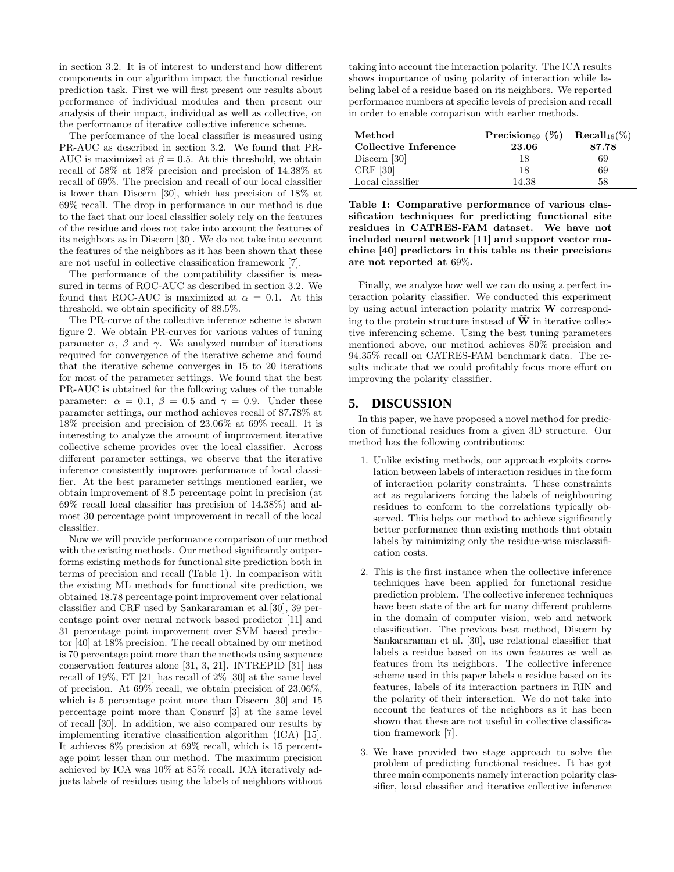in section 3.2. It is of interest to understand how different components in our algorithm impact the functional residue prediction task. First we will first present our results about performance of individual modules and then present our analysis of their impact, individual as well as collective, on the performance of iterative collective inference scheme.

The performance of the local classifier is measured using PR-AUC as described in section 3.2. We found that PR-AUC is maximized at  $\beta = 0.5$ . At this threshold, we obtain recall of 58% at 18% precision and precision of 14.38% at recall of 69%. The precision and recall of our local classifier is lower than Discern [30], which has precision of 18% at 69% recall. The drop in performance in our method is due to the fact that our local classifier solely rely on the features of the residue and does not take into account the features of its neighbors as in Discern [30]. We do not take into account the features of the neighbors as it has been shown that these are not useful in collective classification framework [7].

The performance of the compatibility classifier is measured in terms of ROC-AUC as described in section 3.2. We found that ROC-AUC is maximized at  $\alpha = 0.1$ . At this threshold, we obtain specificity of 88.5%.

The PR-curve of the collective inference scheme is shown figure 2. We obtain PR-curves for various values of tuning parameter  $\alpha$ ,  $\beta$  and  $\gamma$ . We analyzed number of iterations required for convergence of the iterative scheme and found that the iterative scheme converges in 15 to 20 iterations for most of the parameter settings. We found that the best PR-AUC is obtained for the following values of the tunable parameter:  $\alpha = 0.1, \beta = 0.5$  and  $\gamma = 0.9$ . Under these parameter settings, our method achieves recall of 87.78% at 18% precision and precision of 23.06% at 69% recall. It is interesting to analyze the amount of improvement iterative collective scheme provides over the local classifier. Across different parameter settings, we observe that the iterative inference consistently improves performance of local classifier. At the best parameter settings mentioned earlier, we obtain improvement of 8.5 percentage point in precision (at 69% recall local classifier has precision of 14.38%) and almost 30 percentage point improvement in recall of the local classifier.

Now we will provide performance comparison of our method with the existing methods. Our method significantly outperforms existing methods for functional site prediction both in terms of precision and recall (Table 1). In comparison with the existing ML methods for functional site prediction, we obtained 18.78 percentage point improvement over relational classifier and CRF used by Sankararaman et al.[30], 39 percentage point over neural network based predictor [11] and 31 percentage point improvement over SVM based predictor [40] at 18% precision. The recall obtained by our method is 70 percentage point more than the methods using sequence conservation features alone [31, 3, 21]. INTREPID [31] has recall of 19%, ET [21] has recall of 2% [30] at the same level of precision. At 69% recall, we obtain precision of 23.06%, which is 5 percentage point more than Discern [30] and 15 percentage point more than Consurf [3] at the same level of recall [30]. In addition, we also compared our results by implementing iterative classification algorithm (ICA) [15]. It achieves 8% precision at 69% recall, which is 15 percentage point lesser than our method. The maximum precision achieved by ICA was 10% at 85% recall. ICA iteratively adjusts labels of residues using the labels of neighbors without

taking into account the interaction polarity. The ICA results shows importance of using polarity of interaction while labeling label of a residue based on its neighbors. We reported performance numbers at specific levels of precision and recall in order to enable comparison with earlier methods.

| Method               | Precision <sub>69</sub> $(\%)$ | $\textbf{Recall}_{18}(\%)$ |
|----------------------|--------------------------------|----------------------------|
| Collective Inference | 23.06                          | 87.78                      |
| Discern $[30]$       | 18                             | 69                         |
| CRF $[30]$           | 18                             | 69                         |
| Local classifier     | 14.38                          | 58                         |

Table 1: Comparative performance of various classification techniques for predicting functional site residues in CATRES-FAM dataset. We have not included neural network [11] and support vector machine [40] predictors in this table as their precisions are not reported at 69%.

Finally, we analyze how well we can do using a perfect interaction polarity classifier. We conducted this experiment by using actual interaction polarity matrix W corresponding to the protein structure instead of  $\widehat{W}$  in iterative collective inferencing scheme. Using the best tuning parameters mentioned above, our method achieves 80% precision and 94.35% recall on CATRES-FAM benchmark data. The results indicate that we could profitably focus more effort on improving the polarity classifier.

## **5. DISCUSSION**

In this paper, we have proposed a novel method for prediction of functional residues from a given 3D structure. Our method has the following contributions:

- 1. Unlike existing methods, our approach exploits correlation between labels of interaction residues in the form of interaction polarity constraints. These constraints act as regularizers forcing the labels of neighbouring residues to conform to the correlations typically observed. This helps our method to achieve significantly better performance than existing methods that obtain labels by minimizing only the residue-wise misclassification costs.
- 2. This is the first instance when the collective inference techniques have been applied for functional residue prediction problem. The collective inference techniques have been state of the art for many different problems in the domain of computer vision, web and network classification. The previous best method, Discern by Sankararaman et al. [30], use relational classifier that labels a residue based on its own features as well as features from its neighbors. The collective inference scheme used in this paper labels a residue based on its features, labels of its interaction partners in RIN and the polarity of their interaction. We do not take into account the features of the neighbors as it has been shown that these are not useful in collective classification framework [7].
- 3. We have provided two stage approach to solve the problem of predicting functional residues. It has got three main components namely interaction polarity classifier, local classifier and iterative collective inference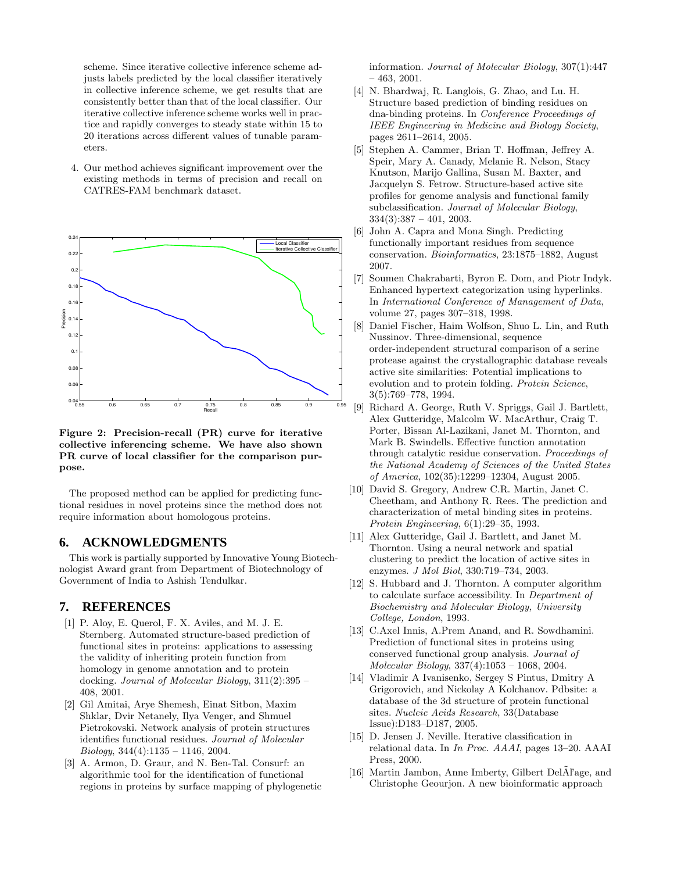scheme. Since iterative collective inference scheme adjusts labels predicted by the local classifier iteratively in collective inference scheme, we get results that are consistently better than that of the local classifier. Our iterative collective inference scheme works well in practice and rapidly converges to steady state within 15 to 20 iterations across different values of tunable parameters.

4. Our method achieves significant improvement over the existing methods in terms of precision and recall on CATRES-FAM benchmark dataset.



Figure 2: Precision-recall (PR) curve for iterative collective inferencing scheme. We have also shown PR curve of local classifier for the comparison purpose.

The proposed method can be applied for predicting functional residues in novel proteins since the method does not require information about homologous proteins.

## **6. ACKNOWLEDGMENTS**

This work is partially supported by Innovative Young Biotechnologist Award grant from Department of Biotechnology of Government of India to Ashish Tendulkar.

## **7. REFERENCES**

- [1] P. Aloy, E. Querol, F. X. Aviles, and M. J. E. Sternberg. Automated structure-based prediction of functional sites in proteins: applications to assessing the validity of inheriting protein function from homology in genome annotation and to protein docking. *Journal of Molecular Biology*, 311(2):395 – 408, 2001.
- [2] Gil Amitai, Arye Shemesh, Einat Sitbon, Maxim Shklar, Dvir Netanely, Ilya Venger, and Shmuel Pietrokovski. Network analysis of protein structures identifies functional residues. *Journal of Molecular Biology*, 344(4):1135 – 1146, 2004.
- [3] A. Armon, D. Graur, and N. Ben-Tal. Consurf: an algorithmic tool for the identification of functional regions in proteins by surface mapping of phylogenetic

information. *Journal of Molecular Biology*, 307(1):447 – 463, 2001.

- [4] N. Bhardwaj, R. Langlois, G. Zhao, and Lu. H. Structure based prediction of binding residues on dna-binding proteins. In *Conference Proceedings of IEEE Engineering in Medicine and Biology Society*, pages 2611–2614, 2005.
- [5] Stephen A. Cammer, Brian T. Hoffman, Jeffrey A. Speir, Mary A. Canady, Melanie R. Nelson, Stacy Knutson, Marijo Gallina, Susan M. Baxter, and Jacquelyn S. Fetrow. Structure-based active site profiles for genome analysis and functional family subclassification. *Journal of Molecular Biology*,  $334(3):387 - 401, 2003.$
- [6] John A. Capra and Mona Singh. Predicting functionally important residues from sequence conservation. *Bioinformatics*, 23:1875–1882, August 2007.
- [7] Soumen Chakrabarti, Byron E. Dom, and Piotr Indyk. Enhanced hypertext categorization using hyperlinks. In *International Conference of Management of Data*, volume 27, pages 307–318, 1998.
- [8] Daniel Fischer, Haim Wolfson, Shuo L. Lin, and Ruth Nussinov. Three-dimensional, sequence order-independent structural comparison of a serine protease against the crystallographic database reveals active site similarities: Potential implications to evolution and to protein folding. *Protein Science*, 3(5):769–778, 1994.
- [9] Richard A. George, Ruth V. Spriggs, Gail J. Bartlett, Alex Gutteridge, Malcolm W. MacArthur, Craig T. Porter, Bissan Al-Lazikani, Janet M. Thornton, and Mark B. Swindells. Effective function annotation through catalytic residue conservation. *Proceedings of the National Academy of Sciences of the United States of America*, 102(35):12299–12304, August 2005.
- [10] David S. Gregory, Andrew C.R. Martin, Janet C. Cheetham, and Anthony R. Rees. The prediction and characterization of metal binding sites in proteins. *Protein Engineering*, 6(1):29–35, 1993.
- [11] Alex Gutteridge, Gail J. Bartlett, and Janet M. Thornton. Using a neural network and spatial clustering to predict the location of active sites in enzymes. *J Mol Biol*, 330:719–734, 2003.
- [12] S. Hubbard and J. Thornton. A computer algorithm to calculate surface accessibility. In *Department of Biochemistry and Molecular Biology, University College, London*, 1993.
- [13] C.Axel Innis, A.Prem Anand, and R. Sowdhamini. Prediction of functional sites in proteins using conserved functional group analysis. *Journal of Molecular Biology*, 337(4):1053 – 1068, 2004.
- [14] Vladimir A Ivanisenko, Sergey S Pintus, Dmitry A Grigorovich, and Nickolay A Kolchanov. Pdbsite: a database of the 3d structure of protein functional sites. *Nucleic Acids Research*, 33(Database Issue):D183–D187, 2005.
- [15] D. Jensen J. Neville. Iterative classification in relational data. In *In Proc. AAAI*, pages 13–20. AAAI Press, 2000.
- [16] Martin Jambon, Anne Imberty, Gilbert DelAl'age, and Christophe Geourjon. A new bioinformatic approach